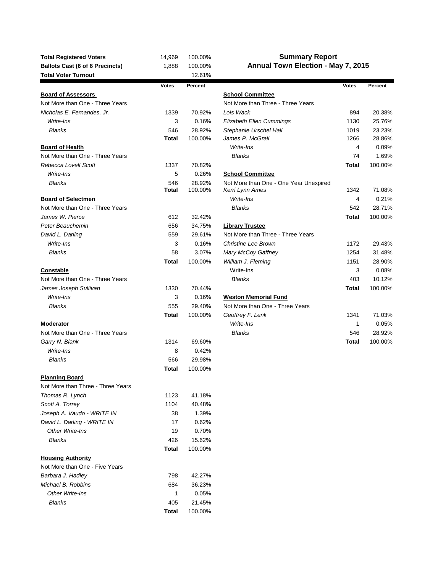| <b>Total Registered Voters</b>         | 14,969       | 100.00% | <b>Summary Report</b>                  |              |         |  |  |  |  |
|----------------------------------------|--------------|---------|----------------------------------------|--------------|---------|--|--|--|--|
| <b>Ballots Cast (6 of 6 Precincts)</b> | 1,888        | 100.00% | Annual Town Election - May 7, 2015     |              |         |  |  |  |  |
| <b>Total Voter Turnout</b>             |              | 12.61%  |                                        |              |         |  |  |  |  |
|                                        | <b>Votes</b> | Percent |                                        | <b>Votes</b> | Percent |  |  |  |  |
| <b>Board of Assessors</b>              |              |         | <b>School Committee</b>                |              |         |  |  |  |  |
| Not More than One - Three Years        |              |         | Not More than Three - Three Years      |              |         |  |  |  |  |
| Nicholas E. Fernandes, Jr.             | 1339         | 70.92%  | Lois Wack                              | 894          | 20.38%  |  |  |  |  |
| Write-Ins                              | 3            | 0.16%   | <b>Elizabeth Ellen Cummings</b>        | 1130         | 25.76%  |  |  |  |  |
| <b>Blanks</b>                          | 546          | 28.92%  | Stephanie Urschel Hall                 | 1019         | 23.23%  |  |  |  |  |
|                                        | <b>Total</b> | 100.00% | James P. McGrail                       | 1266         | 28.86%  |  |  |  |  |
| <b>Board of Health</b>                 |              |         | Write-Ins                              | 4            | 0.09%   |  |  |  |  |
| Not More than One - Three Years        |              |         | <b>Blanks</b>                          | 74           | 1.69%   |  |  |  |  |
| Rebecca Lovell Scott                   | 1337         | 70.82%  |                                        | <b>Total</b> | 100.00% |  |  |  |  |
| Write-Ins                              | 5            | 0.26%   | <b>School Committee</b>                |              |         |  |  |  |  |
| Blanks                                 | 546          | 28.92%  | Not More than One - One Year Unexpired |              |         |  |  |  |  |
|                                        | <b>Total</b> | 100.00% | Kerri Lynn Ames                        | 1342         | 71.08%  |  |  |  |  |
| <b>Board of Selectmen</b>              |              |         | Write-Ins                              | 4            | 0.21%   |  |  |  |  |
| Not More than One - Three Years        |              |         | <b>Blanks</b>                          | 542          | 28.71%  |  |  |  |  |
| James W. Pierce                        | 612          | 32.42%  |                                        | <b>Total</b> | 100.00% |  |  |  |  |
| Peter Beauchemin                       | 656          | 34.75%  | <b>Library Trustee</b>                 |              |         |  |  |  |  |
| David L. Darling                       | 559          | 29.61%  | Not More than Three - Three Years      |              |         |  |  |  |  |
| Write-Ins                              | 3            | 0.16%   | Christine Lee Brown                    | 1172         | 29.43%  |  |  |  |  |
| <b>Blanks</b>                          | 58           | 3.07%   | Mary McCoy Gaffney                     | 1254         | 31.48%  |  |  |  |  |
|                                        | <b>Total</b> | 100.00% | William J. Fleming                     | 1151         | 28.90%  |  |  |  |  |
| Constable                              |              |         | Write-Ins                              | 3            | 0.08%   |  |  |  |  |
| Not More than One - Three Years        |              |         | <b>Blanks</b>                          | 403          | 10.12%  |  |  |  |  |
| James Joseph Sullivan                  | 1330         | 70.44%  |                                        | <b>Total</b> | 100.00% |  |  |  |  |
|                                        |              |         |                                        |              |         |  |  |  |  |
| Write-Ins                              | 3            | 0.16%   | <b>Weston Memorial Fund</b>            |              |         |  |  |  |  |
| <b>Blanks</b>                          | 555          | 29.40%  | Not More than One - Three Years        |              |         |  |  |  |  |
|                                        | Total        | 100.00% | Geoffrey F. Lenk                       | 1341         | 71.03%  |  |  |  |  |
| <b>Moderator</b>                       |              |         | Write-Ins                              | 1            | 0.05%   |  |  |  |  |
| Not More than One - Three Years        |              |         | <b>Blanks</b>                          | 546          | 28.92%  |  |  |  |  |
| Garry N. Blank                         | 1314         | 69.60%  |                                        | Total        | 100.00% |  |  |  |  |
| Write-Ins                              | 8            | 0.42%   |                                        |              |         |  |  |  |  |
| <b>Blanks</b>                          | 566          | 29.98%  |                                        |              |         |  |  |  |  |
|                                        | Total        | 100.00% |                                        |              |         |  |  |  |  |
| <b>Planning Board</b>                  |              |         |                                        |              |         |  |  |  |  |
| Not More than Three - Three Years      |              |         |                                        |              |         |  |  |  |  |
| Thomas R. Lynch                        | 1123         | 41.18%  |                                        |              |         |  |  |  |  |
| Scott A. Torrey                        | 1104         | 40.48%  |                                        |              |         |  |  |  |  |
| Joseph A. Vaudo - WRITE IN             | 38           | 1.39%   |                                        |              |         |  |  |  |  |
| David L. Darling - WRITE IN            | 17           | 0.62%   |                                        |              |         |  |  |  |  |
| Other Write-Ins                        | 19           | 0.70%   |                                        |              |         |  |  |  |  |
| <b>Blanks</b>                          | 426          | 15.62%  |                                        |              |         |  |  |  |  |
|                                        | Total        | 100.00% |                                        |              |         |  |  |  |  |
| <b>Housing Authority</b>               |              |         |                                        |              |         |  |  |  |  |
| Not More than One - Five Years         |              |         |                                        |              |         |  |  |  |  |
| Barbara J. Hadley                      | 798          | 42.27%  |                                        |              |         |  |  |  |  |
| Michael B. Robbins                     | 684          | 36.23%  |                                        |              |         |  |  |  |  |
| Other Write-Ins                        | 1            | 0.05%   |                                        |              |         |  |  |  |  |
| <b>Blanks</b>                          | 405          | 21.45%  |                                        |              |         |  |  |  |  |
|                                        | Total        | 100.00% |                                        |              |         |  |  |  |  |
|                                        |              |         |                                        |              |         |  |  |  |  |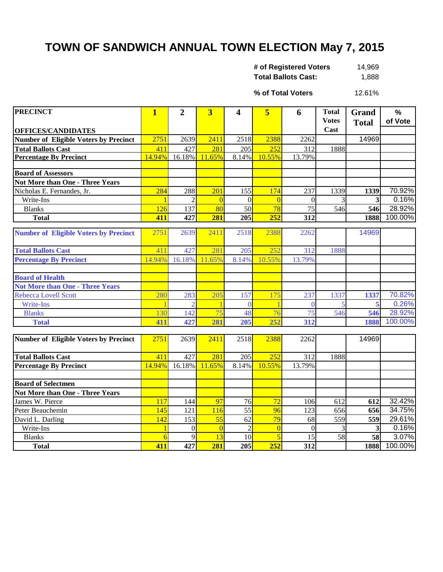## **TOWN OF SANDWICH ANNUAL TOWN ELECTION May 7, 2015**

| # of Registered Voters     | 14,969 |
|----------------------------|--------|
| <b>Total Ballots Cast:</b> | 1,888  |

12.61% **% of Total Voters**

| <b>PRECINCT</b>                              | $\mathbf{1}$ | $\overline{2}$ | $\overline{3}$ | 4               | 5              | 6               | <b>Total</b> | Grand        | $\frac{9}{6}$ |
|----------------------------------------------|--------------|----------------|----------------|-----------------|----------------|-----------------|--------------|--------------|---------------|
|                                              |              |                |                |                 |                |                 | <b>Votes</b> | <b>Total</b> | of Vote       |
| <b>OFFICES/CANDIDATES</b>                    |              |                |                |                 |                |                 | Cast         |              |               |
| <b>Number of Eligible Voters by Precinct</b> | 2751         | 2639           | 2411           | 2518            | 2388           | 2262            |              | 14969        |               |
| <b>Total Ballots Cast</b>                    | 411          | 427            | 281            | 205             | 252            | 312             | 1888         |              |               |
| <b>Percentage By Precinct</b>                | 14.94%       | 16.18%         | 11.65%         | 8.14%           | 10.55%         | 13.79%          |              |              |               |
|                                              |              |                |                |                 |                |                 |              |              |               |
| <b>Board of Assessors</b>                    |              |                |                |                 |                |                 |              |              |               |
| <b>Not More than One - Three Years</b>       |              |                |                |                 |                |                 |              |              |               |
| Nicholas E. Fernandes, Jr.                   | 284          | 288            | 201            | 155             | 174            | 237             | 1339         | 1339         | 70.92%        |
| Write-Ins                                    |              | $\overline{2}$ | $\overline{0}$ | $\Omega$        | $\overline{0}$ | $\theta$        | 3            | 3            | 0.16%         |
| <b>Blanks</b>                                | 126          | 137            | 80             | 50              | 78             | $\overline{75}$ | 546          | 546          | 28.92%        |
| <b>Total</b>                                 | 411          | 427            | 281            | 205             | 252            | 312             |              | 1888         | 100.00%       |
| <b>Number of Eligible Voters by Precinct</b> | 2751         | 2639           | 2411           | 2518            | 2388           | 2262            |              | 14969        |               |
|                                              |              |                |                |                 |                |                 |              |              |               |
| <b>Total Ballots Cast</b>                    | 411          | 427            | 281            | 205             | 252            | 312             | 1888         |              |               |
| <b>Percentage By Precinct</b>                | 14.94%       | 16.18%         | 11.65%         | 8.14%           | 10.55%         | 13.79%          |              |              |               |
|                                              |              |                |                |                 |                |                 |              |              |               |
| <b>Board of Health</b>                       |              |                |                |                 |                |                 |              |              |               |
| <b>Not More than One - Three Years</b>       |              |                |                |                 |                |                 |              |              |               |
| Rebecca Lovell Scott                         | 280          | 283            | 205            | 157             | 175            | 237             | 1337         | 1337         | 70.82%        |
| Write-Ins                                    |              |                |                | $\Omega$        |                | $\Omega$        |              |              | 0.26%         |
| <b>Blanks</b>                                | 130          | 142            | 75             | 48              | 76             | $\overline{75}$ | 546          | 546          | 28.92%        |
| <b>Total</b>                                 | 411          | 427            | 281            | 205             | 252            | 312             |              | 1888         | 100.00%       |
|                                              |              |                |                |                 |                |                 |              |              |               |
| Number of Eligible Voters by Precinct        | 2751         | 2639           | 2411           | 2518            | 2388           | 2262            |              | 14969        |               |
|                                              |              |                |                |                 |                |                 |              |              |               |
| <b>Total Ballots Cast</b>                    | 411          | 427            | 281            | 205             | 252            | 312             | 1888         |              |               |
| <b>Percentage By Precinct</b>                | 14.94%       | 16.18%         | 11.65%         | 8.14%           | 10.55%         | 13.79%          |              |              |               |
|                                              |              |                |                |                 |                |                 |              |              |               |
| <b>Board of Selectmen</b>                    |              |                |                |                 |                |                 |              |              |               |
| <b>Not More than One - Three Years</b>       |              |                |                |                 |                |                 |              |              |               |
| James W. Pierce                              | 117          | 144            | 97             | 76              | 72             | 106             | 612          | 612          | 32.42%        |
| Peter Beauchemin                             | 145          | 121            | 116            | $\overline{55}$ | 96             | 123             | 656          | 656          | 34.75%        |
| David L. Darling                             | 142          | 153            | 55             | 62              | 79             | 68              | 559          | 559          | 29.61%        |
| Write-Ins                                    |              | $\theta$       | $\Omega$       | $\overline{2}$  | $\overline{0}$ | $\theta$        | 3            | 3            | 0.16%         |
| <b>Blanks</b>                                | 6            | 9              | 13             | 10              | 5              | 15              | 58           | 58           | 3.07%         |
| <b>Total</b>                                 | 411          | 427            | 281            | 205             | 252            | 312             |              | 1888         | 100.00%       |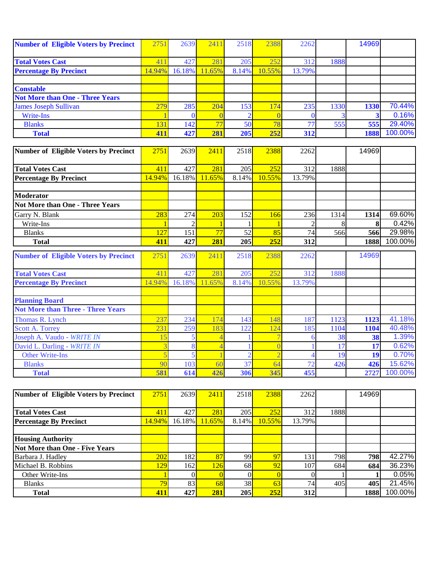| <b>Number of Eligible Voters by Precinct</b> | 2751                    | 2639     | 2411            | 2518  | 2388     | 2262           |      | 14969 |         |
|----------------------------------------------|-------------------------|----------|-----------------|-------|----------|----------------|------|-------|---------|
| <b>Total Votes Cast</b>                      | 411                     | 427      | 281             | 205   | 252      | 312            | 1888 |       |         |
| <b>Percentage By Precinct</b>                | 14.94%                  | 16.18%   | 11.65%          | 8.14% | 10.55%   | 13.79%         |      |       |         |
| <b>Constable</b>                             |                         |          |                 |       |          |                |      |       |         |
| <b>Not More than One - Three Years</b>       |                         |          |                 |       |          |                |      |       |         |
| <b>James Joseph Sullivan</b>                 | 279                     | 285      | 204             | 153   | 174      | 235            | 1330 | 1330  | 70.44%  |
| Write-Ins                                    |                         | $\Omega$ | $\Omega$        |       | $\Omega$ | $\mathbf{0}$   |      |       | 0.16%   |
| <b>Blanks</b>                                | 131                     | 142      | $\overline{77}$ | 50    | 78       | 77             | 555  | 555   | 29.40%  |
| <b>Total</b>                                 | 411                     | 427      | 281             | 205   | 252      | 312            |      | 1888  | 100.00% |
| Number of Eligible Voters by Precinct        | 2751                    | 2639     | 2411            | 2518  | 2388     | 2262           |      | 14969 |         |
|                                              |                         |          |                 |       |          |                |      |       |         |
| <b>Total Votes Cast</b>                      | 411                     | 427      | 281             | 205   | 252      | 312            | 1888 |       |         |
| <b>Percentage By Precinct</b>                | 14.94%                  | 16.18%   | 11.65%          | 8.14% | 10.55%   | 13.79%         |      |       |         |
| <b>Moderator</b>                             |                         |          |                 |       |          |                |      |       |         |
| <b>Not More than One - Three Years</b>       |                         |          |                 |       |          |                |      |       |         |
| Garry N. Blank                               | 283                     | 274      | 203             | 152   | 166      | 236            | 1314 | 1314  | 69.60%  |
| Write-Ins                                    |                         |          |                 |       |          | $\mathfrak{D}$ | 8    | 8     | 0.42%   |
| <b>Blanks</b>                                | 127                     | 151      | 77              | 52    | 85       | 74             | 566  | 566   | 29.98%  |
| <b>Total</b>                                 | 411                     | 427      | 281             | 205   | 252      | 312            |      | 1888  | 100.00% |
| <b>Number of Eligible Voters by Precinct</b> | 2751                    | 2639     | 2411            | 2518  | 2388     | 2262           |      | 14969 |         |
| <b>Total Votes Cast</b>                      | 411                     | 427      | 281             | 205   | 252      | 312            | 1888 |       |         |
| <b>Percentage By Precinct</b>                | 14.94%                  | 16.18%   | 11.65%          | 8.14% | 10.55%   | 13.79%         |      |       |         |
| <b>Planning Board</b>                        |                         |          |                 |       |          |                |      |       |         |
| <b>Not More than Three - Three Years</b>     |                         |          |                 |       |          |                |      |       |         |
| Thomas R. Lynch                              | 237                     | 234      | 174             | 143   | 148      | 187            | 1123 | 1123  | 41.18%  |
| <b>Scott A. Torrey</b>                       | 231                     | 259      | 183             | 122   | 124      | 185            | 1104 | 1104  | 40.48%  |
| Joseph A. Vaudo - WRITE IN                   | 15                      |          | $\overline{4}$  |       |          | 6              | 38   | 38    | 1.39%   |
| David L. Darling - WRITE IN                  |                         | 8        | $\overline{4}$  |       |          |                | 17   | 17    | 0.62%   |
| <b>Other Write-Ins</b>                       | $\overline{\mathbf{5}}$ | 5        |                 |       |          |                | 19   | 19    | 0.70%   |
| <b>Blanks</b>                                | 90                      | 103      | 60              | 37    | 64       | 72             | 426  | 426   | 15.62%  |
| <b>Total</b>                                 | 581                     | 614      | 426             | 306   | 345      | 455            |      | 2727  | 100.00% |

| Number of Eligible Voters by Precinct | 2751            | 2639   | 2411   | 2518  | 2388   | 2262   |      | 14969 |         |
|---------------------------------------|-----------------|--------|--------|-------|--------|--------|------|-------|---------|
|                                       |                 |        |        |       |        |        |      |       |         |
| <b>Total Votes Cast</b>               | 41              | 427    | 281    | 205   | 252    | 312    | 1888 |       |         |
| <b>Percentage By Precinct</b>         | 14.94%          | 16.18% | 11.65% | 8.14% | 10.55% | 13.79% |      |       |         |
|                                       |                 |        |        |       |        |        |      |       |         |
| <b>Housing Authority</b>              |                 |        |        |       |        |        |      |       |         |
| Not More than One - Five Years        |                 |        |        |       |        |        |      |       |         |
| Barbara J. Hadley                     | 202             | 182    | 87     | 99    | 97     | 131    | 798  | 798   | 42.27%  |
| Michael B. Robbins                    | 129             | 162    | 126    | 68    | 92     | 107    | 684  | 684   | 36.23%  |
| Other Write-Ins                       |                 |        |        |       |        |        |      |       | 0.05%   |
| <b>Blanks</b>                         | 79 <sub>l</sub> | 83     | 68     | 38    | 63     | 74.    | 405  | 405   | 21.45%  |
| <b>Total</b>                          | 411             | 427    | 281    | 205   | 252    | 312    |      | 1888  | 100.00% |